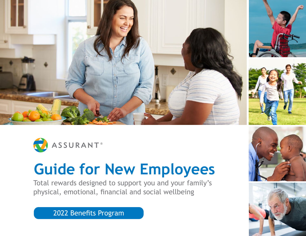



# **Guide for New Employees**

Total rewards designed to support you and your family's physical, emotional, financial and social wellbeing

2022 Benefits Program



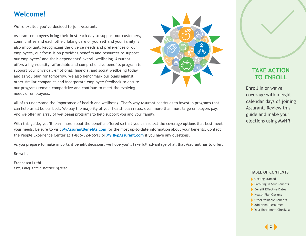## **Welcome!**

We're excited you've decided to join Assurant.

Assurant employees bring their best each day to support our customers, communities and each other. Taking care of yourself and your family is also important. Recognizing the diverse needs and preferences of our employees, our focus is on providing benefits and resources to support our employees' and their dependents' overall wellbeing. Assurant offers a high-quality, affordable and comprehensive benefits program to support your physical, emotional, financial and social wellbeing today and as you plan for tomorrow. We also benchmark our plans against other similar companies and incorporate employee feedback to ensure our programs remain competitive and continue to meet the evolving needs of employees.



All of us understand the importance of health and wellbeing. That's why Assurant continues to invest in programs that can help us all be our best. We pay the majority of your health plan rates, even more than most large employers pay. And we offer an array of wellbeing programs to help support you and your family.

With this guide, you'll learn more about the benefits offered so that you can select the coverage options that best meet your needs. Be sure to visit **[MyAssurantBenefits.com](https://www.myassurantbenefits.com/)** for the most up-to-date information about your benefits. Contact the People Experience Center at **1-866-324-6513** or **[MyHR@Assurant.com](mailto:MyHR%40assurant.com?subject=)** if you have any questions.

As you prepare to make important benefit decisions, we hope you'll take full advantage of all that Assurant has to offer.

Be well,

Francesca Luthi *EVP, Chief Administrative Officer*

## **TAKE ACTION TO ENROLL**

Enroll in or waive coverage within eight calendar days of joining Assurant. Review this guide and make your elections using **MyHR**.

- [Getting Started](#page-2-0)
- [Enrolling in Your Benefits](#page-3-0)
- [Benefit Effective Dates](#page-4-0)
- [Health Plan Options](#page-5-0)
- [Other Valuable Benefits](#page-10-0)
- [Additional Resources](#page-13-0)
- [Your Enrollment Checklist](#page-14-0)

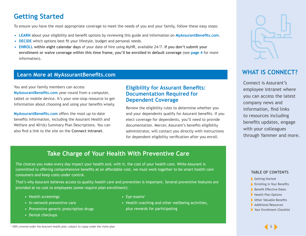## <span id="page-2-0"></span>**Getting Started**

To ensure you have the most appropriate coverage to meet the needs of you and your family, follow these easy steps:

- **• LEARN** about your eligibility and benefit options by reviewing this guide and information on **[MyAssurantBenefits.com](https://www.myassurantbenefits.com/)**.
- **• DECIDE** which options best fit your lifestyle, budget and personal needs.
- **• ENROLL within eight calendar days** of your date of hire using MyHR, available 24/7. **If you don't submit your enrollment or waive coverage within this time frame, you'll be enrolled in default coverage** (see **[page 4](#page-3-0)** for more information).

### **Learn More at MyAssurantBenefits.com**

You and your family members can access **[MyAssurantBenefits.com](https://www.myassurantbenefits.com/)** year-round from a computer, tablet or mobile device. It's your one-stop resource to get information about choosing and using your benefits wisely.

**[MyAssurantBenefits.com](https://www.myassurantbenefits.com/)** offers the most up-to-date benefits information, including the Assurant Health and Welfare and 401(k) Summary Plan Descriptions. You can also find a link to the site on the **Connect intranet**.

### **Eligibility for Assurant Benefits: Documentation Required for Dependent Coverage**

Review the eligibility rules to determine whether you and your dependents qualify for Assurant benefits. If you elect coverage for dependents, you'll need to provide documentation. Mercer, Assurant's benefits eligibility administrator, will contact you directly with instructions for dependent eligibility verification after you enroll.



## **WHAT IS CONNECT?**

Connect is Assurant's employee intranet where you can access the latest company news and information, find links to resources including benefits updates, engage with your colleagues through Yammer and more.

## **Take Charge of Your Health With Preventive Care**

The choices you make every day impact your health and, with it, the cost of your health care. While Assurant is committed to offering comprehensive benefits at an affordable cost, we must work together to be smart health care consumers and keep costs under control.

That's why Assurant believes access to quality health care and prevention is important. Several preventive features are provided at no cost to employees (*some require plan enrollment*):

- Health screenings
- In-network preventive care
- Preventive generic prescription drugs
- Dental checkups
- $\cdot$  Eye exams<sup>1</sup>
- Health coaching and other wellbeing activities, plus rewards for participating

- Getting Started
- **[Enrolling in Your Benefits](#page-3-0)**
- [Benefit Effective Dates](#page-4-0)
- [Health Plan Options](#page-5-0)
- [Other Valuable Benefits](#page-10-0)
- [Additional Resources](#page-13-0)
- ▶ [Your Enrollment Checklist](#page-14-0)

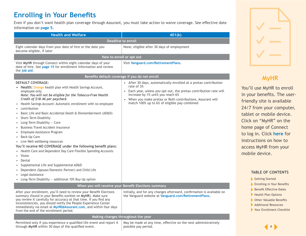## <span id="page-3-0"></span>**Enrolling in Your Benefits**

Even if you don't want health plan coverage through Assurant, you must take action to waive coverage. See effective date information on **[page 5.](#page-4-0)**

| <b>Health and Welfare</b>                                                                                                                                                                                                                                                                                                                                                                                                                                                                                                                                                                                                                                                                                                                                                                                                                                                                                                                                                              | 401(k)                                                                                                                                                                                                                                                                                                 |  |  |
|----------------------------------------------------------------------------------------------------------------------------------------------------------------------------------------------------------------------------------------------------------------------------------------------------------------------------------------------------------------------------------------------------------------------------------------------------------------------------------------------------------------------------------------------------------------------------------------------------------------------------------------------------------------------------------------------------------------------------------------------------------------------------------------------------------------------------------------------------------------------------------------------------------------------------------------------------------------------------------------|--------------------------------------------------------------------------------------------------------------------------------------------------------------------------------------------------------------------------------------------------------------------------------------------------------|--|--|
| <b>Deadline to enroll</b>                                                                                                                                                                                                                                                                                                                                                                                                                                                                                                                                                                                                                                                                                                                                                                                                                                                                                                                                                              |                                                                                                                                                                                                                                                                                                        |  |  |
| Eight calendar days from your date of hire or the date you<br>become eligible, if later                                                                                                                                                                                                                                                                                                                                                                                                                                                                                                                                                                                                                                                                                                                                                                                                                                                                                                | None; eligible after 30 days of employment                                                                                                                                                                                                                                                             |  |  |
| How to enroll or opt out                                                                                                                                                                                                                                                                                                                                                                                                                                                                                                                                                                                                                                                                                                                                                                                                                                                                                                                                                               |                                                                                                                                                                                                                                                                                                        |  |  |
| Visit MyHR through Connect within eight calendar days of your<br>date of hire. See page 15 for enrollment information and review<br>the job aid.                                                                                                                                                                                                                                                                                                                                                                                                                                                                                                                                                                                                                                                                                                                                                                                                                                       | Visit Vanguard.com/RetirementPlans.                                                                                                                                                                                                                                                                    |  |  |
|                                                                                                                                                                                                                                                                                                                                                                                                                                                                                                                                                                                                                                                                                                                                                                                                                                                                                                                                                                                        | Benefits default coverage if you do not enroll                                                                                                                                                                                                                                                         |  |  |
| <b>DEFAULT COVERAGE:</b><br>Health: Orange health plan with Health Savings Account,<br>$\bullet$<br>employee-only<br>Note: You will not be eligible for the Tobacco-Free Health<br>Credit of \$18.46 per paycheck<br>Health Savings Account: Automatic enrollment with no employee<br>$\bullet$<br>contribution<br>Basic Life and Basic Accidental Death & Dismemberment (AD&D)<br>Short-Term Disability<br>$\bullet$<br>Long-Term Disability - Core<br>$\bullet$<br><b>Business Travel Accident Insurance</b><br>Employee Assistance Program<br>$\bullet$<br>Back-Up Care<br>$\bullet$<br>• Live Well wellbeing resources<br>You'll receive NO COVERAGE under the following benefit plans:<br>Health Care and Dependent Day Care Flexible Spending Accounts<br>Vision<br>Dental<br>$\bullet$<br>Supplemental Life and Supplemental AD&D<br>Dependent (Spouse/Domestic Partner) and Child Life<br>Legal Assistance<br>Long-Term Disability - additional 10% Buy-Up option<br>$\bullet$ | • After 30 days, automatically enrolled at a pretax contribution<br>rate of 3%<br>Each year, unless you opt out, the pretax contribution rate will<br>increase by 1% until you reach 6%<br>• When you make pretax or Roth contributions, Assurant will<br>match 100% up to 6% of eligible pay combined |  |  |
| When you will receive your Benefit Elections summary                                                                                                                                                                                                                                                                                                                                                                                                                                                                                                                                                                                                                                                                                                                                                                                                                                                                                                                                   |                                                                                                                                                                                                                                                                                                        |  |  |
| After your enrollment, you'll need to review your Benefit Elections<br>summary (found in your Benefits worklet on MyHR). Make sure<br>you review it carefully for accuracy at that time. If you find any<br>inconsistencies, you should notify the People Experience Center<br>immediately via email at MyHR@Assurant.com, and within four days<br>from the end of the enrollment period.                                                                                                                                                                                                                                                                                                                                                                                                                                                                                                                                                                                              | Initially, and for any changes afterward, confirmation is available on<br>the Vanguard website at Vanguard.com/RetirementPlans.                                                                                                                                                                        |  |  |
|                                                                                                                                                                                                                                                                                                                                                                                                                                                                                                                                                                                                                                                                                                                                                                                                                                                                                                                                                                                        | Making changes throughout the year                                                                                                                                                                                                                                                                     |  |  |
|                                                                                                                                                                                                                                                                                                                                                                                                                                                                                                                                                                                                                                                                                                                                                                                                                                                                                                                                                                                        |                                                                                                                                                                                                                                                                                                        |  |  |



## **MyHR**

You'll use MyHR to enroll in your benefits. The userfriendly site is available 24/7 from your computer, tablet or mobile device. Click on "MyHR" on the home page of Connect to log in. Click **[here](https://www.myassurantbenefits.com/documents/librariesprovider26/eligibility-and-enrollment-resources/accessing-myhr-via-mobile.pdf)** for instructions on how to access MyHR from your mobile device.

#### **TABLE OF CONTENTS**

- [Getting Started](#page-2-0)
- **Enrolling in Your Benefits**
- [Benefit Effective Dates](#page-4-0)
- [Health Plan Options](#page-5-0)
- [Other Valuable Benefits](#page-10-0)
- [Additional Resources](#page-13-0)
- [Your Enrollment Checklist](#page-14-0)

through **MyHR** within 30 days of the qualified event.

Permitted only if you experience a qualified life event and report it May be made at any time, effective on the next administratively possible pay period.

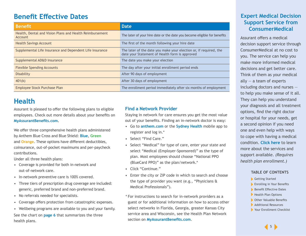## <span id="page-4-0"></span>**Benefit Effective Dates Expert Medical Decision**

| <b>Benefit</b>                                                      | <b>Date</b>                                                                                                         |
|---------------------------------------------------------------------|---------------------------------------------------------------------------------------------------------------------|
| Health, Dental and Vision Plans and Health Reimbursement<br>Account | The later of your hire date or the date you become eligible for benefits                                            |
| <b>Health Savings Account</b>                                       | The first of the month following your hire date                                                                     |
| Supplemental Life Insurance and Dependent Life Insurance            | The later of the date you make your election or, if required, the<br>date your Statement of Health form is approved |
| Supplemental AD&D Insurance                                         | The date you make your election                                                                                     |
| <b>Flexible Spending Accounts</b>                                   | The day after your initial enrollment period ends                                                                   |
| Disability                                                          | After 90 days of employment                                                                                         |
| 401(k)                                                              | After 30 days of employment                                                                                         |
| Employee Stock Purchase Plan                                        | The enrollment period immediately after six months of employment                                                    |

## **Health**

Assurant is pleased to offer the following plans to eligible employees. Check out more details about your benefits on **[MyAssurantBenefits.com.](http://MyAssurantBenefits.com)**

We offer three comprehensive health plans administered by Anthem Blue Cross and Blue Shield: **Blue**, **Green** and **Orange**. These options have different deductibles, coinsurance, out-of-pocket maximums and per-paycheck contributions.

Under all three health plans:

- Coverage is provided for both in-network and out-of-network care.
- In-network preventive care is 100% covered.
- Three tiers of prescription drug coverage are included: generic, preferred brand and non-preferred brand.
- No referrals needed for specialists.
- Coverage offers protection from catastrophic expenses.
- Wellbeing programs are available to you and your family. See the chart on **[page 6](#page-5-0)** that summarizes the three health plans.

#### **Find a Network Provider**

Staying in network for care ensures you get the most value out of your benefits. Finding an in-network doctor is easy:

- Go to **[anthem.com](http://anthem.com)** or the **[Sydney Health](https://www.myassurantbenefits.com/documents/librariesprovider26/medical-resources/find-care.pdf?sfvrsn=1d2f7105_2)** mobile app to register and log in.\*
- Select "Find Care."
- Select "Medical" for type of care, enter your state and select "Medical (Employer-Sponsored)" as the type of plan. Most employees should choose "National PPO (BlueCard PPO)" as the plan/network.\*
- Click "Continue."
- Enter the city or ZIP code in which to search and choose the type of provider you want (e.g., "Physicians & Medical Professionals").
- \* For instructions to search for in-network providers as a guest or for additional information on how to access other select networks in Florida, Georgia, greater Kansas City service area and Wisconsin, see the Health Plan Network section on **[MyAssurantBenefits.com](http://MyAssurantBenefits.com)**.

## **Support Service from ConsumerMedical**

Assurant offers a medical decision support service through ConsumerMedical at no cost to you. The service can help you make more informed medical decisions and get better care. Think of them as your medical ally  $-$  a team of experts including doctors and nurses to help you make sense of it all. They can help you understand your diagnosis and all treatment options, find the right doctor or hospital for your needs, get a second opinion if you need one and even help with ways to cope with having a medical condition. **[Click here](https://www.myassurantbenefits.com/documents/librariesprovider26/consumermedical-virtual-second-opinion/consumermedical-flyer.pdf)** to learn more about the services and support available. *(Requires health plan enrollment.)*

- [Getting Started](#page-2-0)
- **[Enrolling in Your Benefits](#page-3-0)**
- Benefit Effective Dates
- [Health Plan Options](#page-5-0)
- [Other Valuable Benefits](#page-10-0)
- [Additional Resources](#page-13-0)
- [Your Enrollment Checklist](#page-14-0)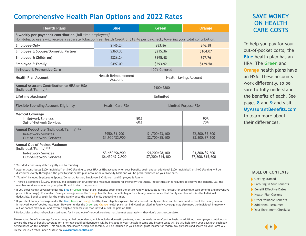## <span id="page-5-0"></span>**Comprehensive Health Plan Options and 2022 Rates**

| <b>Health Plans</b>                                                                                                                                                                                      | <b>Blue</b>                                          | Green                               | Orange                              |  |  |
|----------------------------------------------------------------------------------------------------------------------------------------------------------------------------------------------------------|------------------------------------------------------|-------------------------------------|-------------------------------------|--|--|
| Biweekly per-paycheck contribution (full-time employees) <sup>2</sup><br>Non-tobacco users will receive a separate Tobacco-Free Health Credit of \$18.46 per paycheck, lowering your total contribution. |                                                      |                                     |                                     |  |  |
| Employee-Only                                                                                                                                                                                            | \$146.24<br>\$46.38<br>\$83.86                       |                                     |                                     |  |  |
| Employee & Spouse/Domestic Partner                                                                                                                                                                       | \$360.35                                             | \$215.36                            | \$104.07                            |  |  |
| Employee & Child(ren)                                                                                                                                                                                    | \$326.24                                             | \$195.48                            | \$97.76                             |  |  |
| <b>Employee &amp; Family</b>                                                                                                                                                                             | \$497.00                                             | \$293.92                            | \$129.58                            |  |  |
| <b>In-Network Preventive Care</b>                                                                                                                                                                        | 100% Covered                                         |                                     |                                     |  |  |
| <b>Health Plan Account</b>                                                                                                                                                                               | Health Reimbursement<br>Account                      | <b>Health Savings Account</b>       |                                     |  |  |
| <b>Annual Assurant Contribution to HRA or HSA</b><br>(Individual/Family) $^{3,4}$                                                                                                                        | \$400/\$800                                          |                                     |                                     |  |  |
| Lifetime Maximum <sup>5</sup>                                                                                                                                                                            | Unlimited                                            |                                     |                                     |  |  |
| <b>Flexible Spending Account Eligibility</b>                                                                                                                                                             | <b>Health Care FSA</b><br><b>Limited Purpose FSA</b> |                                     |                                     |  |  |
| <b>Medical Coverage</b><br>In-Network Services<br><b>Out-of-Network Services</b>                                                                                                                         | 80%<br>60%                                           |                                     | 90%<br>70%                          |  |  |
| Annual Deductible (Individual/Family) <sup>4,6,8</sup><br><b>In-Network Services</b><br><b>Out-of-Network Services</b>                                                                                   | \$950/\$1,900<br>\$1,950/\$3,900                     | \$1,700/\$3,400<br>\$2,700/\$5,400  | \$2,800/\$5,600<br>\$3,800/\$7,600  |  |  |
| Annual Out-of-Pocket Maximum<br>(Individual/Family) $4,7,8$<br><b>In-Network Services</b><br><b>Out-of-Network Services</b>                                                                              | \$3,450/\$6,900<br>\$6,450/\$12,900                  | \$4,200/\$8,400<br>\$7,200/\$14,400 | \$4,800/\$9,600<br>\$7,800/\$15,600 |  |  |

<sup>2</sup> Your deductions may differ slightly due to rounding.

<sup>3</sup> Assurant contributes \$200 (Individual) or \$400 (Family) to your HRA or HSA account when your benefits begin and an additional \$200 (Individual) or \$400 (Family) will be distributed evenly throughout the year to your health plan account on a biweekly basis and will be prorated based on your hire date.

<sup>4</sup> "Family" includes Employee & Spouse/Domestic Partner, Employee & Child(ren) and Employee & Family.

<sup>5</sup> There's a combined \$30,000 medical and prescription drug lifetime maximum benefit for infertility treatment. Precertification is required to receive this benefit. Call the member services number on your plan ID card to start the process.

- <sup>6</sup> If you elect Family coverage under the Blue or Green health plans, benefits begin once the entire Family deductible is met (except for preventive care benefits and preventive prescription drugs). If you elect Family coverage under the Orange health plan, benefits begin for a family member once that family member satisfies the Individual deductible. Benefits begin for the entire family once the entire Family deductible is met.
- <sup>7</sup> If you elect Family coverage under the Blue, Green or Orange health plans, eligible expenses for all covered family members can be combined to meet the Family annual in-network out-of-pocket maximum. However, under the Green and Orange health plans, an individual enrolled in Family coverage may also meet the Individual in-network out-of-pocket maximum, and covered eligible expenses for that individual will be paid at 100%.

<sup>8</sup> Deductibles and out-of-pocket maximums for in- and out-of-network services must be met separately - they don't cross-accumulate.

Please note: Benefit coverage for non-tax-qualified dependents, which includes domestic partners, must be made on an after-tax basis. In addition, the employer contribution toward the cost of benefit coverage for a non-tax-qualified dependent will be included in your taxable income and income taxes will be withheld from your paycheck each pay period based on this amount. This amount, also known as imputed income, will be included in your annual gross income for federal tax purposes and shown on your Form W-2.

Please see 2022 rates under "Rates" on **[MyAssurantBenefits.com](https://www.myassurantbenefits.com/rates/health-rates)**.

## **SAVE MONEY ON HEALTH CARE COSTS**

To help you pay for your out-of-pocket costs, the **Blue** health plan has an HRA. The **Green** and **Orange** health plans have an HSA. These accounts work differently, so be sure to fully understand the benefits of each. See pages **[8](#page-7-0)** and **[9](#page-8-0)** and visit **[MyAssurantBenefits.com](http://MyAssurantBenefits.com)** to learn more about their differences.

- [Getting Started](#page-2-0)
- **[Enrolling in Your Benefits](#page-3-0)**
- [Benefit Effective Dates](#page-4-0)
- Health Plan Options
- [Other Valuable Benefits](#page-10-0)
- [Additional Resources](#page-13-0)
- [Your Enrollment Checklist](#page-14-0)

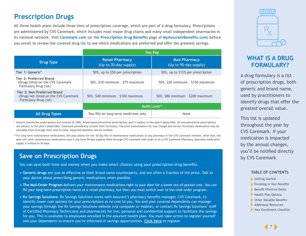## <span id="page-6-0"></span>**Prescription Drugs**

All three health plans include three tiers of prescription coverage, which are part of a drug formulary. Prescriptions are administered by CVS Caremark, which includes most major drug chains and many small independent pharmacies in its national network. Visit **[Caremark.com](http://caremark.com)** (or the **[Prescription Drug Benefits](https://www.myassurantbenefits.com/benefits/health-plan/prescription-drug-benefits)** page of **[MyAssurantBenefits.com](http://MyAssurantBenefits.com)**) before you enroll to review the covered drug list to see which medications are preferred and offer the greatest savings.

|                                                                                               | <b>You Pay</b>                                                         |                                               |  |
|-----------------------------------------------------------------------------------------------|------------------------------------------------------------------------|-----------------------------------------------|--|
| <b>Drug Type</b>                                                                              | <b>Retail Pharmacy</b><br>(Up to 30-day supply)                        | <b>Mail Pharmacy</b><br>(Up to 90-day supply) |  |
| Tier 1: Generic <sup>9</sup>                                                                  | 50%, up to \$50 per prescription                                       | 50%, up to \$125 per prescription             |  |
| Tier 2: Preferred Brand<br>(Drugs listed on the CVS Caremark)<br>Formulary Drug List)         | $50\%$ , \$10 minimum - \$75 maximum                                   | 50%, \$20 minimum - \$150 maximum             |  |
| Tier 3: Non-Preferred Brand<br>(Drugs not listed on the CVS Caremark)<br>Formulary Drug List) | 50%, \$40 minimum - \$100 maximum<br>50%, \$80 minimum - \$200 maximum |                                               |  |
|                                                                                               | Refill Limit <sup>10</sup>                                             |                                               |  |
| <b>All Drug Types</b>                                                                         | Two fills on long-term medicines only                                  | None                                          |  |

<sup>9</sup> Generic preventive prescriptions are covered at 100%. Brand name preventive prescriptions aren't subject to the plan's deductible. All non-preventive prescriptions are subject to the plan's deductible. Caremark periodically reviews their formulary. The prior authorization list may change and certain formulary medications may be excluded from coverage from time to time; impacted members will be notified.

<sup>10</sup> For long-term maintenance medications, the plan allows for two 30-day fills of maintenance medications at any pharmacy in the CVS Caremark network. After that, the plan will cover maintenance medications only if you have 90-day supplies filled through CVS Caremark mail-order or at a CVS Caremark Pharmacy. Specialty medication supply is limited to 30 days.

## **Save on Prescription Drugs**

You can save both time and money when you make smart choices using your prescription drug benefits.

- **• Generic drugs** are just as effective as their brand name counterparts, and are often a fraction of the price. Talk to your doctor about prescribing generic medications when possible.
- **• The Mail-Order Program** delivers your maintenance medications right to your door for a lower out-of-pocket cost. You can fill your long-term prescription twice at a retail pharmacy, but then you must switch over to the mail-order program.
- **• Rx Savings Solutions**: Rx Savings Solutions works with Assurant's pharmacy benefits manager, CVS Caremark, to identify lower-cost options for your prescriptions at no cost to you. You and your covered dependents can manage your savings through the Rx Savings Solutions website (via computer or mobile), or contact Rx Savings Solutions' staff of Certified Pharmacy Technicians and pharmacists for live, personal and confidential support to facilitate the savings for you. This is available to employees enrolled in the Assurant health plan. You must take action to register yourself and your dependents to ensure you're informed of savings opportunities. **[Click here](https://myrxss.com/assurant)** to register.



## **WHAT IS A DRUG FORMULARY?**

A drug formulary is a list of prescription drugs, both generic and brand name, used by practitioners to identify drugs that offer the greatest overall value.

This list is updated throughout the year by CVS Caremark. If your medication is impacted by the annual changes, you'll be notified directly by CVS Caremark.

- [Getting Started](#page-2-0)
- **[Enrolling in Your Benefits](#page-3-0)**
- [Benefit Effective Dates](#page-4-0)
- [Health Plan Options](#page-5-0)
- [Other Valuable Benefits](#page-10-0)
- [Additional Resources](#page-13-0)
- [Your Enrollment Checklist](#page-14-0)

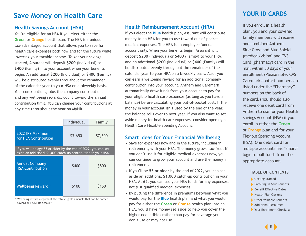## <span id="page-7-0"></span>**Save Money on Health Care**

#### **Health Savings Account (HSA)**

You're eligible for an HSA if you elect either the **Green** or **Orange** health plan. The HSA is a unique tax-advantaged account that allows you to save for health care expenses both now and for the future while lowering your taxable income. To get your savings started, Assurant will deposit **\$200** (Individual) or **\$400** (Family) into your account when your benefits begin. An additional **\$200** (Individual) or **\$400** (Family) will be distributed evenly throughout the remainder of the calendar year to your HSA on a biweekly basis. Your contributions, plus the company contributions and any wellbeing rewards, count toward the annual contribution limit. You can change your contributions at any time throughout the year on **MyHR**.

|                                                                                                                                  | Individual | Family  |  |  |
|----------------------------------------------------------------------------------------------------------------------------------|------------|---------|--|--|
| 2022 IRS Maximum<br>\$3,650<br>for HSA Contribution                                                                              |            | \$7,300 |  |  |
| If you will be age 55 or older by the end of 2022, you can set<br>aside an additional \$1,000 catch-up contribution in your HSA. |            |         |  |  |
| <b>Annual Company</b><br><b>HSA Contribution</b>                                                                                 | \$400      | \$800   |  |  |
| Wellbeing Reward <sup>11</sup>                                                                                                   | \$100      | \$150   |  |  |

<sup>11</sup> Wellbeing rewards represent the total eligible amounts that can be earned toward an HSA/HRA account.

#### **Health Reimbursement Account (HRA)**

If you elect the **Blue** health plan, Assurant will contribute money to an HRA for you to use toward out-of-pocket medical expenses. The HRA is an employer-funded account only. When your benefits begin, Assurant will deposit **\$200** (Individual) or **\$400** (Family) to your HRA, and an additional **\$200** (Individual) or **\$400** (Family) will be distributed evenly throughout the remainder of the calendar year to your HRA on a biweekly basis. Also, you can earn a wellbeing reward for an additional company contribution into your account. Anthem and Caremark automatically draw funds from your account to pay for your eligible health care expenses (as long as you have a balance) before calculating your out-of-pocket cost. If the money in your account isn't used by the end of the year, the balance rolls over to next year. If you also want to set aside money for health care expenses, consider opening a Health Care Flexible Spending Account.

#### **Smart Ideas for Your Financial Wellbeing**

- Save for expenses now and in the future, including in retirement, with your HSA. The money grows tax-free. If you don't use it for eligible medical expenses now, you can continue to grow your account and use the money in retirement.
- If you'll be **55 or older** by the end of 2022, you can set aside an additional **\$1,000** catch-up contribution in your HSA. At **65**, you can use your HSA funds for any expenses, not just qualified medical expenses.
- By putting the difference in premiums between what you would pay for the **Blue** health plan and what you would pay for either the **Green** or **Orange** health plan into an HSA, you'll have money set aside to help you cover the higher deductibles rather than pay for coverage you don't use or may not use.

## **YOUR ID CARDS**

If you enroll in a health plan, you and your covered family members will receive one combined Anthem Blue Cross and Blue Shield (medical/vision) and CVS Card (pharmacy) card in the mail within 30 days of your enrollment (Please note: CVS Caremark contact numbers are listed under the "Pharmacy" numbers on the back of the card.) You should also receive one debit card from Anthem to use for your Health Savings Account (HSA) if you enroll in either the **Green** or **Orange** plan and for your Flexible Spending Account (FSA). One debit card for multiple accounts has "smart" logic to pull funds from the appropriate account.

- [Getting Started](#page-2-0)
- **[Enrolling in Your Benefits](#page-3-0)**
- [Benefit Effective Dates](#page-4-0)
- [Health Plan Options](#page-5-0)
- [Other Valuable Benefits](#page-10-0)
- [Additional Resources](#page-13-0)
- ▶ [Your Enrollment Checklist](#page-14-0)

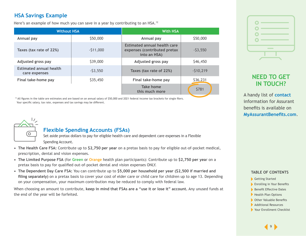## <span id="page-8-0"></span>**HSA Savings Example**

Here's an example of how much you can save in a year by contributing to an HSA.<sup>12</sup>

| <b>Without HSA</b>                              |            | <b>With HSA</b>                                                              |            |  |
|-------------------------------------------------|------------|------------------------------------------------------------------------------|------------|--|
| Annual pay                                      | \$50,000   | Annual pay                                                                   | \$50,000   |  |
| Taxes (tax rate of 22%)                         | $-511,000$ | Estimated annual health care<br>expenses (contributed pretax<br>into an HSA) | $-53,550$  |  |
| Adjusted gross pay                              | \$39,000   | Adjusted gross pay                                                           | \$46,450   |  |
| <b>Estimated annual health</b><br>care expenses | $-53,550$  | Taxes (tax rate of 22%)                                                      | $-510,219$ |  |
| Final take-home pay                             | \$35,450   | Final take-home pay                                                          | \$36,231   |  |
|                                                 |            | Take home<br>this much more                                                  | \$781      |  |

<sup>12</sup> All figures in the table are estimates and are based on an annual salary of \$50,000 and 2021 federal income tax brackets for single filers. Your specific salary, tax rate, expenses and tax savings may be different.



### **Flexible Spending Accounts (FSAs)**

Set aside pretax dollars to pay for eligible health care and dependent care expenses in a Flexible Spending Account.

- **• The Health Care FSA:** Contribute up to **\$2,750 per year** on a pretax basis to pay for eligible out-of-pocket medical, prescription, dental and vision expenses.
- **• The Limited Purpose FSA** (for **Green** or **Orange** health plan participants): Contribute up to **\$2,750 per yea**r on a pretax basis to pay for qualified out-of-pocket dental and vision expenses ONLY.
- **• The Dependent Day Care FSA:** You can contribute up to **\$5,000 per household per year (\$2,500 if married and filing separately)** on a pretax basis to cover your cost of elder care or child care for children up to age 13. Depending on your compensation, your maximum contribution may be reduced to comply with federal law.

When choosing an amount to contribute, **keep in mind that FSAs are a "use it or lose it" account.** Any unused funds at the end of the year will be forfeited.



## **NEED TO GET IN TOUCH?**

A handy list of **[contact](https://www.myassurantbenefits.com/contacts)** information for Assurant benefits is available on **[MyAssurantBenefits.com](https://www.myassurantbenefits.com)**.

- [Getting Started](#page-2-0)
- **[Enrolling in Your Benefits](#page-3-0)**
- [Benefit Effective Dates](#page-4-0)
- [Health Plan Options](#page-5-0)
- [Other Valuable Benefits](#page-10-0)
- [Additional Resources](#page-13-0)
- ▶ [Your Enrollment Checklist](#page-14-0)

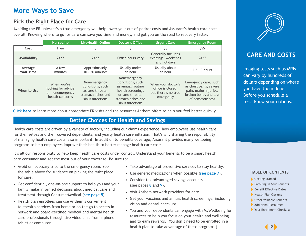## **More Ways to Save**

### **Pick the Right Place for Care**

Avoiding the ER unless it's a true emergency will help lower your out-of-pocket costs and Assurant's health care costs overall. Knowing where to go for care can save you time and money, and get you on the road to recovery faster.

|                             | <b>NurseLine</b>                                                        | <b>LiveHealth Online</b>                                                                      | Doctor's Office                                                                                                                         | <b>Urgent Care</b>                                                          | <b>Emergency Room</b>                                                                                                |
|-----------------------------|-------------------------------------------------------------------------|-----------------------------------------------------------------------------------------------|-----------------------------------------------------------------------------------------------------------------------------------------|-----------------------------------------------------------------------------|----------------------------------------------------------------------------------------------------------------------|
| Cost                        | Free                                                                    |                                                                                               |                                                                                                                                         | \$\$                                                                        | \$\$\$                                                                                                               |
| Availability                | 24/7                                                                    | 24/7                                                                                          | Office hours vary                                                                                                                       | Generally includes<br>evenings, weekends<br>and holidays                    | 24/7                                                                                                                 |
| Average<br><b>Wait Time</b> | A few<br>minutes                                                        | Approximately<br>$10 - 20$ minutes                                                            | Usually under<br>an hour                                                                                                                | Usually about<br>an hour                                                    | $2.5 - 3$ hours                                                                                                      |
| When to Use                 | When you're<br>looking for advice<br>on nonemergency<br>health concerns | Nonemergency<br>conditions, such<br>as sore throats,<br>stomach aches and<br>sinus infections | Nonemergency<br>conditions, such<br>as annual routine<br>health screenings<br>or sore throats,<br>stomach aches and<br>sinus infections | When your doctor's<br>office is closed,<br>but there's no true<br>emergency | Emergency care, such<br>as chest pains, severe<br>pain, major injuries,<br>broken bones and loss<br>of consciousness |

**[Click here](https://www.myassurantbenefits.com/documents/librariesprovider26/medical-resources/er_avoidable.pdf?sfvrsn=b53c7605_2)** to learn more about appropriate ER visits and the resources Anthem offers to help you feel better quickly.

### **Better Choices for Health and Savings**

Health care costs are driven by a variety of factors, including our claims experience, how employees use health care for themselves and their covered dependents, and yearly health care inflation. That's why sharing the responsibility of managing health care costs is so important. In addition to benefits coverage, Assurant provides many wellbeing programs to help employees improve their health to better manage health care costs.

It's all our responsibility to help keep health care costs under control. Understand your benefits to be a smart health care consumer and get the most out of your coverage. Be sure to:

- Avoid unnecessary trips to the emergency room. See the table above for guidance on picking the right place for care.
- Get confidential, one-on-one support to help you and your family make informed decisions about medical care and treatment through ConsumerMedical (**[see page 5](#page-4-0)**).
- Health plan enrollees can use Anthem's convenient telehealth services from home or on the go to access innetwork and board-certified medical and mental health care professionals through live video chat from a phone, tablet or computer.
- Take advantage of preventive services to stay healthy.
- Use generic medications when possible (**[see page 7](#page-6-0)**).
- Consider tax-advantaged savings accounts (see pages **[8](#page-7-0)** and **[9](#page-8-0)**).
- Visit Anthem network providers for care.
- Get your vaccines and annual health screenings, including vision and dental checkups.
- You and your dependents can engage with MyWellbeing for resources to help you focus on your health and wellbeing and to earn rewards. (You don't need to be enrolled in a health plan to take advantage of these programs.)



## **CARE AND COSTS**

Imaging tests such as MRIs can vary by hundreds of dollars depending on where you have them done. Before you schedule a test, know your options.

- [Getting Started](#page-2-0)
- [Enrolling in Your Benefits](#page-3-0)
- [Benefit Effective Dates](#page-4-0)
- [Health Plan Options](#page-5-0)
- [Other Valuable Benefits](#page-10-0)
- [Additional Resources](#page-13-0)
- ▶ [Your Enrollment Checklist](#page-14-0)

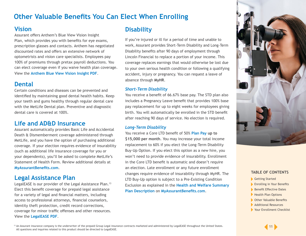## <span id="page-10-0"></span>**Other Valuable Benefits You Can Elect When Enrolling**

### **Vision**

Assurant offers Anthem's Blue View Vision Insight Plan, which provides you with benefits for eye exams, prescription glasses and contacts. Anthem has negotiated discounted rates and offers an extensive network of optometrists and vision care specialists. Employees pay 100% of premiums through pretax payroll deductions. You can elect coverage even if you waive health plan coverage. View the **[Anthem Blue View Vision Insight PDF](https://www.myassurantbenefits.com/documents/librariesprovider26/vision-resources/vision-plan-summary.pdf)**.

## **Dental**

Certain conditions and diseases can be prevented and identified by maintaining good dental health habits. Keep your teeth and gums healthy through regular dental care with the MetLife Dental plan. Preventive and diagnostic dental care is covered at 100%.

### **Life and AD&D Insurance**

Assurant automatically provides Basic Life and Accidental Death & Dismemberment coverage administered through MetLife, and you have the option of purchasing additional coverage. If your election requires evidence of insurability (such as additional life insurance coverage for you or your dependents), you'll be asked to complete MetLife's Statement of Health Form. Review additional details at **[MyAssurantBenefits.com](https://myassurantbenefits.com/)**.

### **Legal Assistance Plan**

LegalEASE is our provider of the Legal Assistance Plan.<sup>13</sup> Elect this benefit coverage for prepaid legal assistance for a variety of legal and financial matters, including access to professional attorneys, financial counselors, identity theft protection, credit record corrections, coverage for minor traffic offenses and other resources. View the **[LegalEASE PDF](https://www.myassurantbenefits.com/documents/librariesprovider26/legal-assistance-plan/legalease-overview.pdf)**.

## **Disability**

If you're injured or ill for a period of time and unable to work, Assurant provides Short-Term Disability and Long-Term Disability benefits after 90 days of employment through Lincoln Financial to replace a portion of your income. This coverage replaces earnings that would otherwise be lost due to your own serious health condition or following a qualifying accident, injury or pregnancy. You can request a leave of absence through **MyHR**.

#### *Short-Term Disability*

You receive a benefit of 66.67% base pay. The STD plan also includes a Pregnancy Leave benefit that provides 100% base pay replacement for up to eight weeks for employees giving birth. You will automatically be enrolled in the STD benefit after reaching 90 days of service. No election is required.

#### *Long-Term Disability*

You receive a Core LTD benefit of 50% **[Plan Pay](https://www.myassurantbenefits.com/documents/librariesprovider26/disability-and-life-insurance-resources/plan-pay.pdf?sfvrsn=fed57005_4) up to \$15,000 per month**. You may increase your total income replacement to 60% if you elect the Long-Term Disability Buy-Up Option. If you elect this option as a new hire, you won't need to provide evidence of insurability. Enrollment in the Core LTD benefit is automatic and doesn't require an election. Late enrollment or any future enrollment changes require evidence of insurability through MyHR. The LTD Buy-Up option is subject to a Pre-Existing Condition Exclusion as explained in the **[Health and Welfare Summary](https://www.myassurantbenefits.com/documents/librariesprovider26/plan-documents-resources/assurant-health-and-welfare-benefit-plan-summary-plan-description.pdf)  [Plan Description](https://www.myassurantbenefits.com/documents/librariesprovider26/plan-documents-resources/assurant-health-and-welfare-benefit-plan-summary-plan-description.pdf)** on **[MyAssurantBenefits.com](https://www.myassurantbenefits.com)**.



- [Getting Started](#page-2-0)
- **[Enrolling in Your Benefits](#page-3-0)**
- [Benefit Effective Dates](#page-4-0)
- [Health Plan Options](#page-5-0)
- Other Valuable Benefits
- [Additional Resources](#page-13-0)
- [Your Enrollment Checklist](#page-14-0)

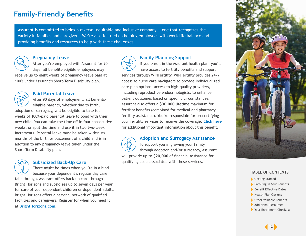## **Family-Friendly Benefits**

Assurant is committed to being a diverse, equitable and inclusive company — one that recognizes the variety in families and caregivers. We're also focused on helping employees with work-life balance and providing benefits and resources to help with these challenges.



#### **Pregnancy Leave**

After you're employed with Assurant for 90 days, all benefits-eligible employees may receive up to eight weeks of pregnancy leave paid at

100% under Assurant's Short-Term Disability plan.



#### **Paid Parental Leave**

After 90 days of employment, all benefitseligible parents, whether due to birth, adoption or surrogacy, will be eligible to take four weeks of 100%-paid parental leave to bond with their new child. You can take the time off in four consecutive weeks, or split the time and use it in two two-week increments. Parental leave must be taken within six months of the birth or placement of a child and is in addition to any pregnancy leave taken under the Short-Term Disability plan.

#### **Subsidized Back-Up Care**

There might be times when you're in a bind because your dependent's regular day care falls through. Assurant offers back-up care through Bright Horizons and subsidizes up to seven days per year for care of your dependent children or dependent adults. Bright Horizons offers a national network of qualified facilities and caregivers. Register for when you need it at **[BrightHorizons.com](https://www.brighthorizons.com/)**.



#### **Family Planning Support**

If you enroll in the Assurant health plan, you'll have access to fertility benefits and support services through WINFertility. WINFertility provides 24/7 access to nurse care navigators to provide individualized care plan options, access to high-quality providers, including reproductive endocrinologists, to enhance patient outcomes based on specific circumstances. Assurant also offers a **\$30,000** lifetime maximum for fertility benefits (combined for medical and pharmacy fertility assistance). You're responsible for precertifying your fertility services to receive the coverage. **[Click here](http://managed.winfertility.com/assurant)** for additional important information about this benefit.

#### **Adoption and Surrogacy Assistance**

To support you in growing your family through adoption and/or surrogacy, Assurant will provide up to **\$20,000** of financial assistance for qualifying costs associated with these services.



- [Getting Started](#page-2-0)
- [Enrolling in Your Benefits](#page-3-0)
- [Benefit Effective Dates](#page-4-0)
- [Health Plan Options](#page-5-0)
- [Other Valuable Benefits](#page-10-0)
- [Additional Resources](#page-13-0)
- ▶ [Your Enrollment Checklist](#page-14-0)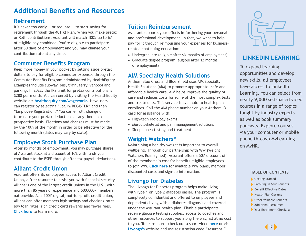## **Additional Benefits and Resources**

### **Retirement**

It's never too early  $-$  or too late  $-$  to start saving for retirement through the 401(k) Plan. When you make pretax or Roth contributions, Assurant will match 100% up to 6% of eligible pay combined. You're eligible to participate after 30 days of employment and you may change your contribution rate at any time.

### **Commuter Benefits Program**

Keep more money in your pocket by setting aside pretax dollars to pay for eligible commuter expenses through the Commuter Benefits Program administered by HealthEquity. Examples include subway, bus, train, ferry, vanpool and parking. In 2022, the IRS limit for pretax contributions is \$280 per month. You can enroll by visiting the HealthEquity website at: **[healthequity.com/wageworks](http://healthequity.com/wageworks)**. New users can register by selecting "Log In/REGISTER" and then "Employee Registration." You can enroll, change or terminate your pretax deductions at any time on a prospective basis. Elections and changes must be made by the 10th of the month in order to be effective for the following month (dates may vary by state).

## **Employee Stock Purchase Plan**

After six months of employment, you may purchase shares of Assurant stock at a discount of 10% with funds you contribute to the ESPP through after-tax payroll deductions.

### **Alliant Credit Union**

Assurant offers its employees access to Alliant Credit Union, a free resource to assist you with financial security. Alliant is one of the largest credit unions in the U.S., with more than 85 years of experience and 500,000+ members nationwide. As a 100% digital, not-for-profit credit union, Alliant can offer members high savings and checking rates, low loan rates, rich credit card rewards and fewer fees. **[Click here](http://myalliantcreditunion.com/assurant)** to learn more.

### **Tuition Reimbursement**

Assurant supports your efforts in furthering your personal and professional development. In fact, we want to help pay for it through reimbursing your expenses for businessrelated continuing education:

- Undergraduate (eligible after six months of employment)
- Graduate degree program (eligible after 12 months of employment)

### **AIM Specialty Health Solutions**

Anthem Blue Cross and Blue Shield uses AIM Specialty Health Solutions (AIM) to promote appropriate, safe and affordable health care. AIM helps improve the quality of care and reduces costs for some of the most complex tests and treatments. This service is available to health plan enrollees. Call the AIM phone number on your Anthem ID card for assistance with:

- High-tech radiology exams
- Musculoskeletal and pain management solutions
- Sleep apnea testing and treatment

### **Weight Watchers®**

Maintaining a healthy weight is important to overall wellbeing. Through our partnership with WW (Weight Watchers Reimagined), Assurant offers a 50% discount off of the membership cost for benefits-eligible employees to join WW. **[Click here](https://www.weightwatchers.com/us/assurant)** for available WW plans, member discounted costs and sign-up information.

### **Livongo for Diabetes**

The Livongo for Diabetes program helps make living with Type 1 or Type 2 diabetes easier. The program is completely confidential and offered to employees and dependents living with a diabetes diagnosis and covered under the Assurant health plan. Eligible participants receive glucose testing supplies, access to coaches and other resources to support you along the way, all at no cost to you. To learn more, check out a short video **[here](https://www.youtube.com/watch?app=desktop&v=PrVexrNpWuw&feature=youtu.be
)** or visit [Livongo's](http://join.livongo.com/assurant) website and use registration code "Assurant."



## **LINKEDIN LEARNING**

To expand learning opportunities and develop new skills, all employees have access to LinkedIn Learning. You can select from nearly **9,000** self-paced video courses in a range of topics taught by industry experts as well as book summary podcasts. Explore courses via your computer or mobile phone through MyLearning on MyHR.

- [Getting Started](#page-2-0)
- [Enrolling in Your Benefits](#page-3-0)
- [Benefit Effective Dates](#page-4-0)
- [Health Plan Options](#page-5-0)
- [Other Valuable Benefits](#page-10-0)
- [Additional Resources](#page-13-0)
- [Your Enrollment Checklist](#page-14-0)

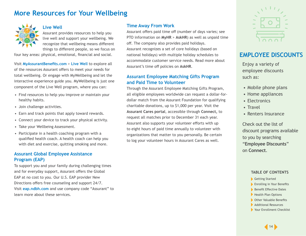## <span id="page-13-0"></span>**More Resources for Your Wellbeing**



#### **Live Well**

Assurant provides resources to help you live well and support your wellbeing. We recognize that wellbeing means different things to different people, so we focus on

four key areas: physical, emotional, financial and social.

Visit **[MyAssurantBenefits.com](https://myassurantbenefits.com/)** > **[Live Well](https://www.myassurantbenefits.com/live-well/live-well-overview)** to explore all of the resources Assurant offers to meet your needs for total wellbeing. Or engage with MyWellbeing and let the interactive experience guide you. MyWellbeing is just one component of the Live Well program, where you can:

- Find resources to help you improve or maintain your healthy habits.
- Join challenge activities.
- Earn and track points that apply toward rewards.
- Connect your device to track your physical activity.
- Take your Wellbeing Assessment.
- Participate in a health coaching program with a qualified health coach. A health coach can help you with diet and exercise, quitting smoking and more.

#### **Assurant Global Employee Assistance Program (EAP)**

To support you and your family during challenging times and for everyday support, Assurant offers the Global EAP at no cost to you. Our U.S. EAP provider New Directions offers free counseling and support 24/7. Visit **[eap.ndbh.com](https://eap.ndbh.com)** and use company code "Assurant" to learn more about these services.

#### **Time Away From Work**

Assurant offers paid time off (number of days varies; see PTO information on **MyHR** > **AskHR**) as well as unpaid time off. The company also provides paid holidays. Assurant recognizes a set of core holidays (based on national holidays) with multiple holiday schedules to accommodate customer service needs. Read more about Assurant's time off policies on **AskHR**.

#### **Assurant Employee Matching Gifts Program and Paid Time to Volunteer**

Through the Assurant Employee Matching Gifts Program, all eligible employees worldwide can request a dollar-fordollar match from the Assurant Foundation for qualifying charitable donations, up to \$1,000 per year. Visit the **Assurant Cares portal**, accessible through **Connect,** to request all matches prior to December 31 each year. Assurant also supports your volunteer efforts with up to eight hours of paid time annually to volunteer with organizations that matter to you personally. Be certain to log your volunteer hours in Assurant Cares as well.



## **EMPLOYEE DISCOUNTS**

Enjoy a variety of employee discounts such as:

- Mobile phone plans
- Home appliances
- Electronics
- Travel
- Renters Insurance

Check out the list of discount programs available to you by searching "**Employee Discounts**" on **Connect**.

- [Getting Started](#page-2-0)
- [Enrolling in Your Benefits](#page-3-0)
- [Benefit Effective Dates](#page-4-0)
- [Health Plan Options](#page-5-0)
- [Other Valuable Benefits](#page-10-0)
- Additional Resources
- [Your Enrollment Checklist](#page-14-0)